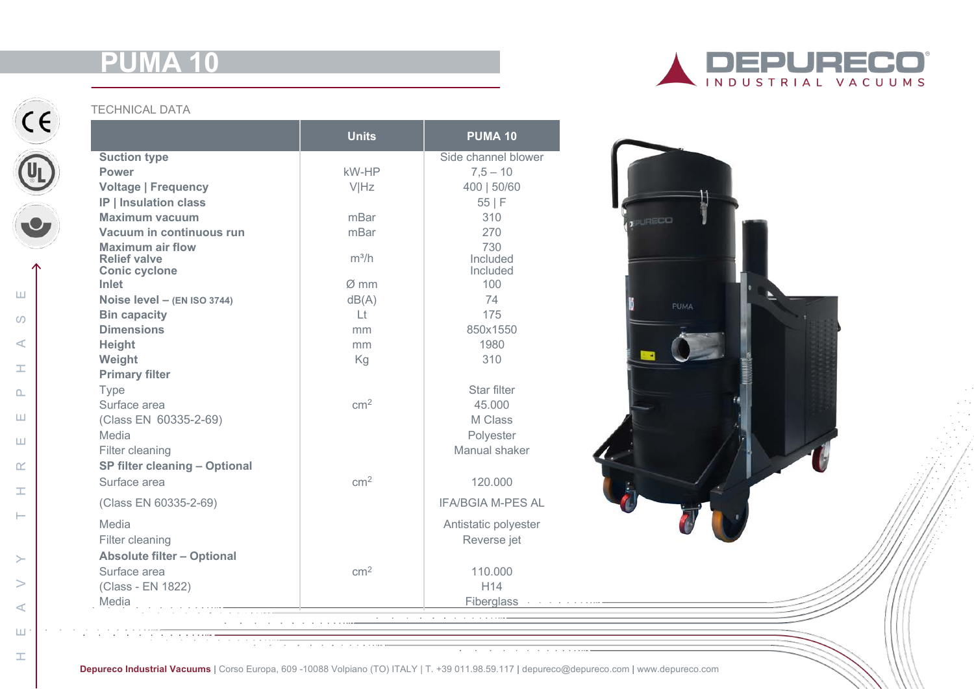# **P**



HEAVY THREEPHASE

 $\pm$ 

 $\vdash$ 

 $\geq$ 

 $\geq$ 

 $\prec$ 

 $\sqcup\!\sqcup$ 

 $\pm$ 

 $\alpha$ 

 $\sqcup\hspace{-0.12cm}\sqcup$ 

 $\omega$ 

 $\prec$ 

工

 $\mathbf{\Omega}$ 

Ш

 $\sqcup$ 

#### TECHNICAL DATA

|                                                | <b>Units</b>    | <b>PUMA 10</b>           |                               |
|------------------------------------------------|-----------------|--------------------------|-------------------------------|
| <b>Suction type</b>                            |                 | Side channel blower      |                               |
| <b>Power</b>                                   | kW-HP           | $7,5 - 10$               |                               |
| <b>Voltage   Frequency</b>                     | <b>VIHz</b>     | 400   50/60              |                               |
| <b>IP   Insulation class</b>                   |                 | 55 F                     |                               |
| <b>Maximum vacuum</b>                          | mBar            | 310                      | PURECO                        |
| Vacuum in continuous run                       | mBar            | 270                      |                               |
| <b>Maximum air flow</b><br><b>Relief valve</b> | $m^3/h$         | 730<br>Included          |                               |
| <b>Conic cyclone</b>                           |                 | Included                 |                               |
| Inlet                                          | $Ø$ mm          | 100                      |                               |
| Noise level - (EN ISO 3744)                    | dB(A)           | 74                       | PUMA                          |
| <b>Bin capacity</b>                            | Lt              | 175                      |                               |
| <b>Dimensions</b>                              | mm              | 850x1550                 |                               |
| Height                                         | mm              | 1980                     |                               |
| Weight                                         | Kg              | 310                      |                               |
| <b>Primary filter</b>                          |                 |                          |                               |
| Type                                           |                 | Star filter              |                               |
| Surface area                                   | $\text{cm}^2$   | 45,000                   |                               |
| (Class EN 60335-2-69)                          |                 | M Class                  |                               |
| Media                                          |                 | Polyester                |                               |
| Filter cleaning                                |                 | Manual shaker            |                               |
| <b>SP filter cleaning - Optional</b>           |                 |                          |                               |
| Surface area                                   | cm <sup>2</sup> | 120.000                  |                               |
| (Class EN 60335-2-69)                          |                 | <b>IFA/BGIA M-PES AL</b> |                               |
| Media                                          |                 | Antistatic polyester     |                               |
| Filter cleaning                                |                 | Reverse jet              |                               |
| <b>Absolute filter - Optional</b>              |                 |                          |                               |
| Surface area                                   | cm <sup>2</sup> | 110.000                  |                               |
|                                                |                 | H <sub>14</sub>          |                               |
| (Class - EN 1822)                              |                 |                          | Fiberglass Address Activities |



**Depureco Industrial Vacuums |** Corso Europa, 609 -10088 Volpiano (TO) ITALY | T. +39 011.98.59.117 **|** depureco@depureco.com **|** www.depureco.com